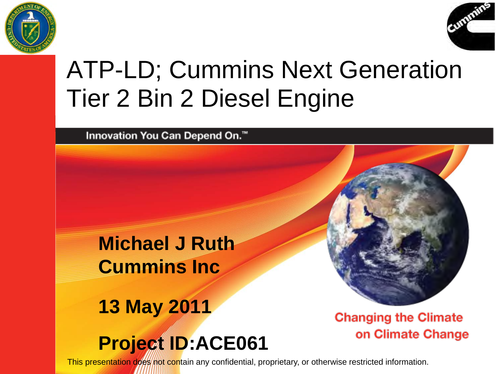



## ATP-LD; Cummins Next Generation Tier 2 Bin 2 Diesel Engine

Innovation You Can Depend On.™

**Michael J Ruth Cummins Inc**

**13 May 2011**

**Project ID:ACE061**

**Changing the Climate** on Climate Change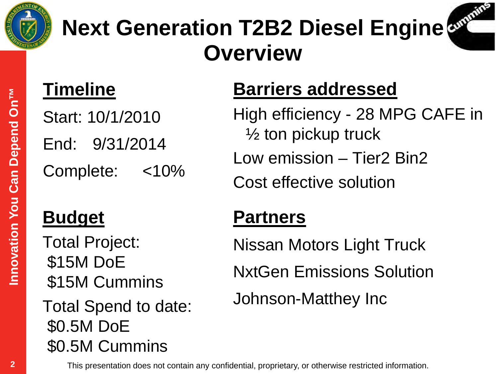



#### **Timeline**

Start: 10/1/2010 End: 9/31/2014

Complete: <10%

#### **Budget**

Total Project: \$15M DoE \$15M Cummins

Total Spend to date: \$0.5M DoE \$0.5M Cummins

#### **Barriers addressed**

High efficiency - 28 MPG CAFE in ½ ton pickup truck Low emission – Tier2 Bin2 Cost effective solution

#### **Partners**

Nissan Motors Light Truck NxtGen Emissions Solution Johnson-Matthey Inc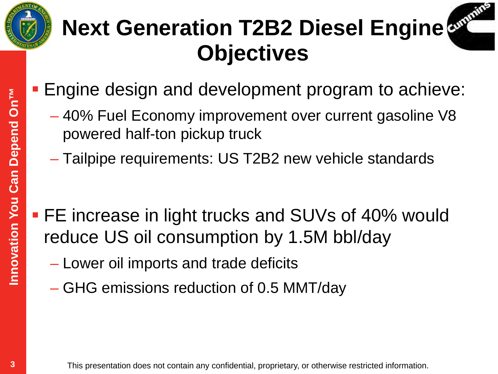



- **Engine design and development program to achieve:** 
	- 40% Fuel Economy improvement over current gasoline V8 powered half-ton pickup truck
	- Tailpipe requirements: US T2B2 new vehicle standards
- **FE** increase in light trucks and SUVs of 40% would reduce US oil consumption by 1.5M bbl/day
	- Lower oil imports and trade deficits
	- GHG emissions reduction of 0.5 MMT/day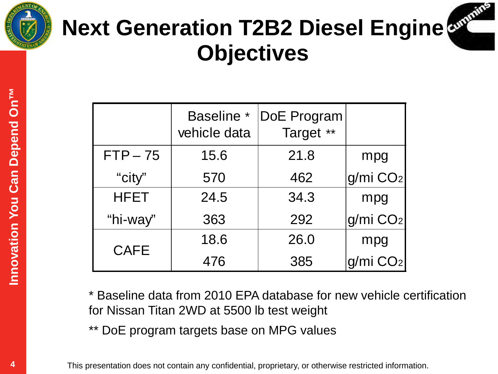



# **Next Generation T2B2 Diesel Engine Objectives**

|             | <b>Baseline</b> *<br>vehicle data | DoE Program<br>Target ** |                        |
|-------------|-----------------------------------|--------------------------|------------------------|
| $FTP-75$    | 15.6                              | 21.8                     | mpg                    |
| "city"      | 570                               | 462                      | $g/mi$ $CO2$           |
| <b>HFET</b> | 24.5                              | 34.3                     | mpg                    |
| "hi-way"    | 363                               | 292                      | g/mi CO <sub>2</sub>   |
| <b>CAFE</b> | 18.6                              | 26.0                     | mpg                    |
|             | 476                               | 385                      | $q/mi$ CO <sub>2</sub> |

\* Baseline data from 2010 EPA database for new vehicle certification for Nissan Titan 2WD at 5500 lb test weight

DoE program targets base on MPG values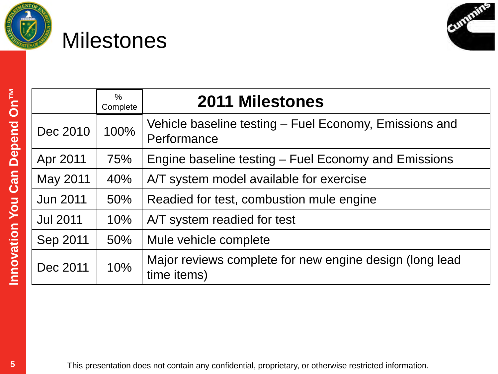

### **Milestones**



| NT NN                    |  |
|--------------------------|--|
|                          |  |
|                          |  |
|                          |  |
| <b>CONSTRUCTION</b><br>ļ |  |
|                          |  |
|                          |  |
|                          |  |
|                          |  |
|                          |  |
|                          |  |
| 5                        |  |

|                 | %<br>Complete | <b>2011 Milestones</b>                                                 |
|-----------------|---------------|------------------------------------------------------------------------|
| Dec 2010        | 100%          | Vehicle baseline testing - Fuel Economy, Emissions and<br>Performance  |
| Apr 2011        | 75%           | Engine baseline testing – Fuel Economy and Emissions                   |
| May 2011        | 40%           | A/T system model available for exercise                                |
| <b>Jun 2011</b> | 50%           | Readied for test, combustion mule engine                               |
| <b>Jul 2011</b> | 10%           | A/T system readied for test                                            |
| Sep 2011        | 50%           | Mule vehicle complete                                                  |
| Dec 2011        | 10%           | Major reviews complete for new engine design (long lead<br>time items) |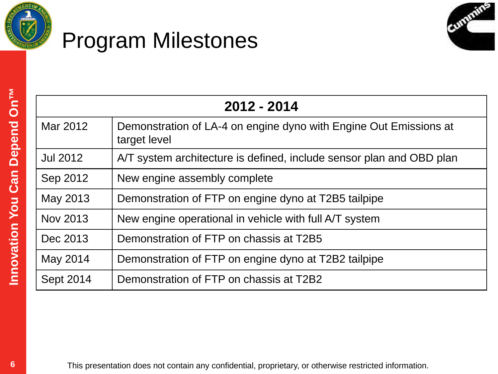

### Program Milestones



| 2012 - 2014     |                                                                                   |  |
|-----------------|-----------------------------------------------------------------------------------|--|
| Mar 2012        | Demonstration of LA-4 on engine dyno with Engine Out Emissions at<br>target level |  |
| <b>Jul 2012</b> | A/T system architecture is defined, include sensor plan and OBD plan              |  |
| Sep 2012        | New engine assembly complete                                                      |  |
| May 2013        | Demonstration of FTP on engine dyno at T2B5 tailpipe                              |  |
| Nov 2013        | New engine operational in vehicle with full A/T system                            |  |
| Dec 2013        | Demonstration of FTP on chassis at T2B5                                           |  |
| May 2014        | Demonstration of FTP on engine dyno at T2B2 tailpipe                              |  |
| Sept 2014       | Demonstration of FTP on chassis at T2B2                                           |  |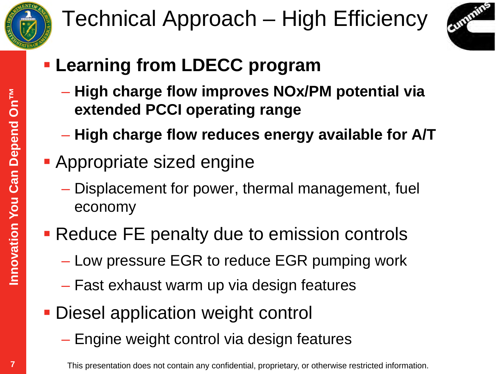

## Technical Approach – High Efficiency



- **Learning from LDECC program**
	- **High charge flow improves NOx/PM potential via extended PCCI operating range**
	- **High charge flow reduces energy available for A/T**
- **Appropriate sized engine** 
	- Displacement for power, thermal management, fuel economy
- **Reduce FE penalty due to emission controls** 
	- Low pressure EGR to reduce EGR pumping work
	- Fast exhaust warm up via design features
- **Diesel application weight control** 
	- Engine weight control via design features

 $\overline{7}$ 

This presentation does not contain any confidential, proprietary, or otherwise restricted information.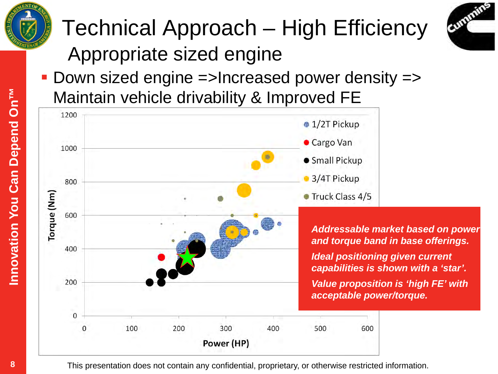

## Technical Approach – High Efficiency Appropriate sized engine



 Down sized engine =>Increased power density => Maintain vehicle drivability & Improved FE



8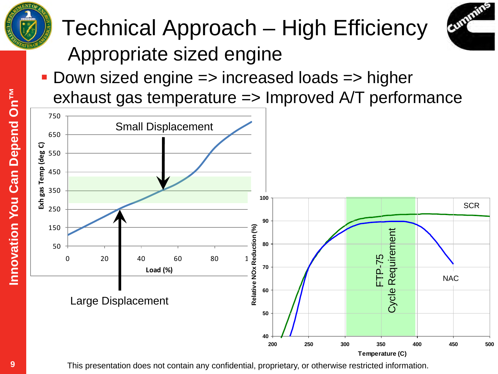

## Technical Approach – High Efficiency Appropriate sized engine



■ Down sized engine => increased loads => higher exhaust gas temperature => Improved A/T performance

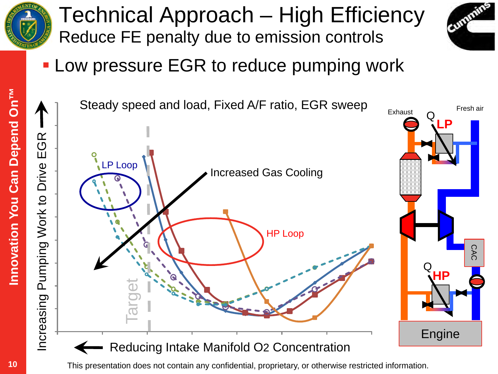

### Technical Approach – High Efficiency Reduce FE penalty due to emission controls



**- Low pressure EGR to reduce pumping work** 

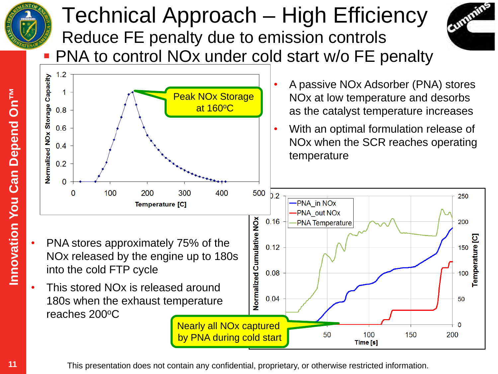

#### Technical Approach – High Efficiency Reduce FE penalty due to emission controls



PNA to control NOx under cold start w/o FE penalty



This presentation does not contain any confidential, proprietary, or otherwise restricted information.

 $11$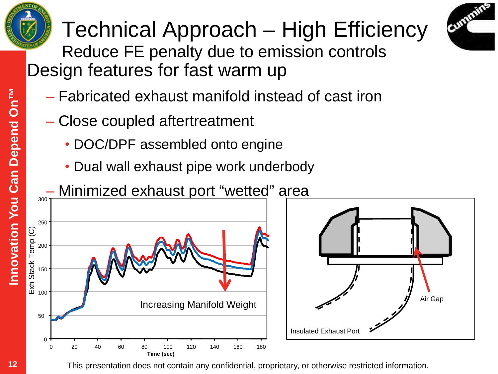



Technical Approach – High Efficiency Reduce FE penalty due to emission controls Design features for fast warm up

- Fabricated exhaust manifold instead of cast iron
- Close coupled aftertreatment
	- DOC/DPF assembled onto engine

**Time (sec)**

• Dual wall exhaust pipe work underbody

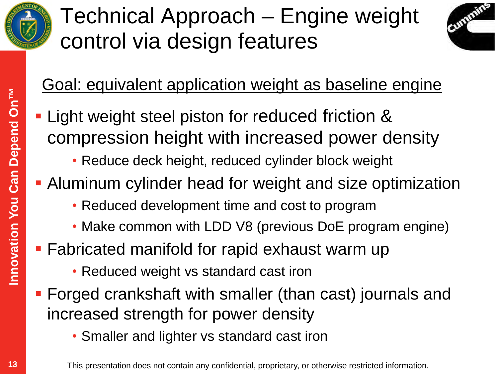

## Technical Approach – Engine weight control via design features



#### Goal: equivalent application weight as baseline engine

- **Light weight steel piston for reduced friction &** compression height with increased power density
	- Reduce deck height, reduced cylinder block weight
- Aluminum cylinder head for weight and size optimization
	- Reduced development time and cost to program
	- Make common with LDD V8 (previous DoE program engine)
- **Fabricated manifold for rapid exhaust warm up** 
	- Reduced weight vs standard cast iron
- Forged crankshaft with smaller (than cast) journals and increased strength for power density
	- Smaller and lighter vs standard cast iron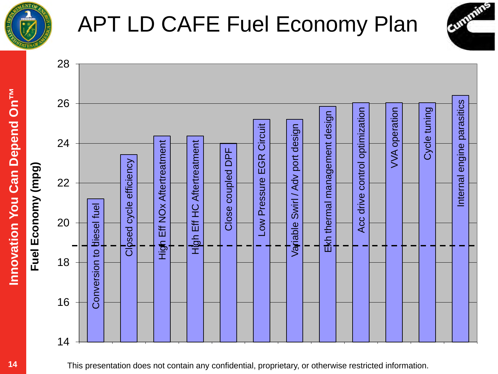

## APT LD CAFE Fuel Economy Plan

Cummins



This presentation does not contain any confidential, proprietary, or otherwise restricted information.

Innovation You Can Depend On<sup>TM</sup>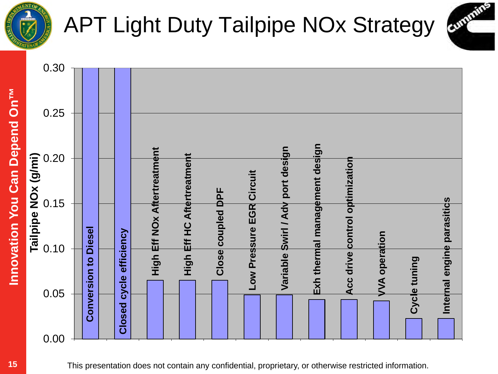

## APT Light Duty Tailpipe NOx Strategy

Cummins

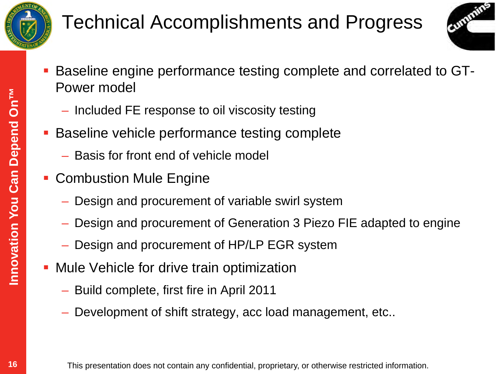

### Technical Accomplishments and Progress



- Baseline engine performance testing complete and correlated to GT-Power model
	- Included FE response to oil viscosity testing
- Baseline vehicle performance testing complete
	- Basis for front end of vehicle model
- **Combustion Mule Engine** 
	- Design and procurement of variable swirl system
	- Design and procurement of Generation 3 Piezo FIE adapted to engine
	- Design and procurement of HP/LP EGR system
- **Mule Vehicle for drive train optimization** 
	- Build complete, first fire in April 2011
	- Development of shift strategy, acc load management, etc..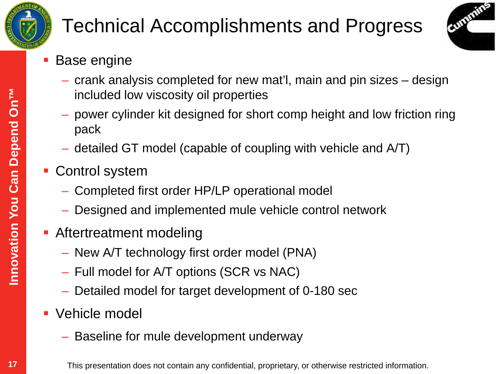

### Technical Accomplishments and Progress



- Base engine
	- crank analysis completed for new mat'l, main and pin sizes design included low viscosity oil properties
	- power cylinder kit designed for short comp height and low friction ring pack
	- detailed GT model (capable of coupling with vehicle and A/T)
- Control system
	- Completed first order HP/LP operational model
	- Designed and implemented mule vehicle control network
- **Aftertreatment modeling** 
	- New A/T technology first order model (PNA)
	- Full model for A/T options (SCR vs NAC)
	- Detailed model for target development of 0-180 sec
- **Vehicle model** 
	- Baseline for mule development underway
		- This presentation does not contain any confidential, proprietary, or otherwise restricted information.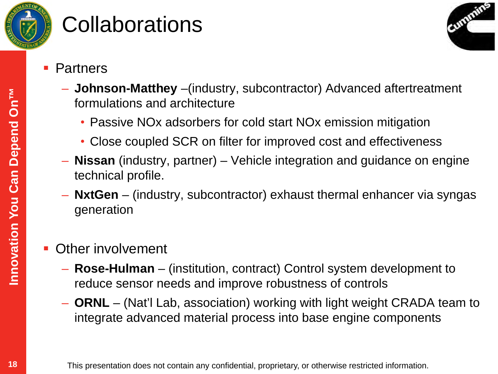

## **Collaborations**

Cummins

- Partners
	- **Johnson-Matthey** –(industry, subcontractor) Advanced aftertreatment formulations and architecture
		- Passive NOx adsorbers for cold start NOx emission mitigation
		- Close coupled SCR on filter for improved cost and effectiveness
	- **Nissan** (industry, partner) Vehicle integration and guidance on engine technical profile.
	- **NxtGen** (industry, subcontractor) exhaust thermal enhancer via syngas generation
- Other involvement
	- **Rose-Hulman** (institution, contract) Control system development to reduce sensor needs and improve robustness of controls
	- **ORNL** (Nat'l Lab, association) working with light weight CRADA team to integrate advanced material process into base engine components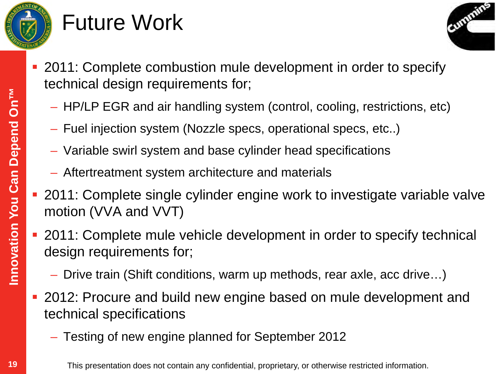

## Future Work



- 2011: Complete combustion mule development in order to specify technical design requirements for;
	- HP/LP EGR and air handling system (control, cooling, restrictions, etc)
	- Fuel injection system (Nozzle specs, operational specs, etc..)
	- Variable swirl system and base cylinder head specifications
	- Aftertreatment system architecture and materials
- 2011: Complete single cylinder engine work to investigate variable valve motion (VVA and VVT)
- 2011: Complete mule vehicle development in order to specify technical design requirements for;
	- Drive train (Shift conditions, warm up methods, rear axle, acc drive…)
- 2012: Procure and build new engine based on mule development and technical specifications
	- Testing of new engine planned for September 2012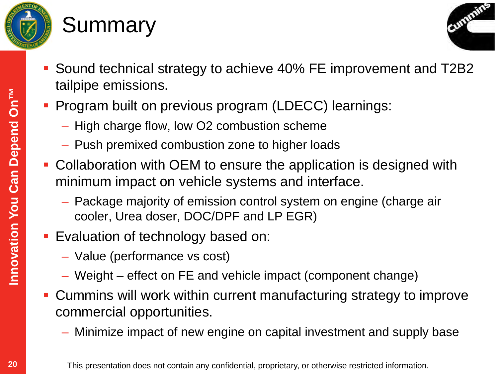

### **Summary**



- Sound technical strategy to achieve 40% FE improvement and T2B2 tailpipe emissions.
- **Program built on previous program (LDECC) learnings:** 
	- High charge flow, low O2 combustion scheme
	- Push premixed combustion zone to higher loads
- Collaboration with OEM to ensure the application is designed with minimum impact on vehicle systems and interface.
	- Package majority of emission control system on engine (charge air cooler, Urea doser, DOC/DPF and LP EGR)
- Evaluation of technology based on:
	- Value (performance vs cost)
	- Weight effect on FE and vehicle impact (component change)
- Cummins will work within current manufacturing strategy to improve commercial opportunities.
	- Minimize impact of new engine on capital investment and supply base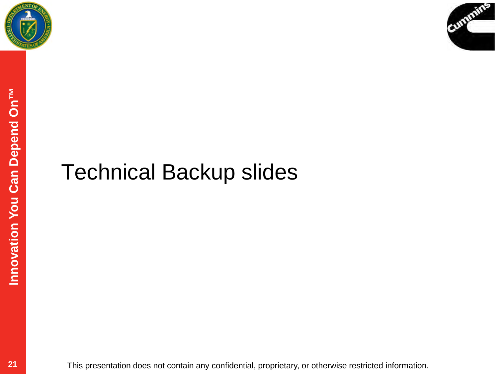



### Technical Backup slides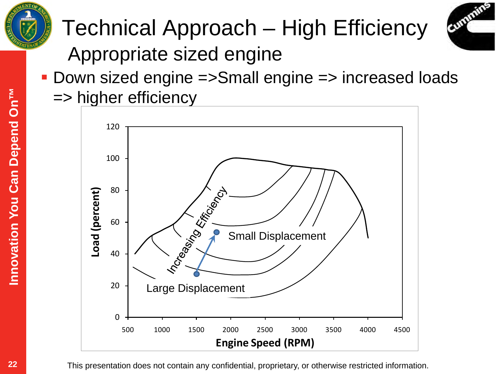





 Down sized engine =>Small engine => increased loads => higher efficiency

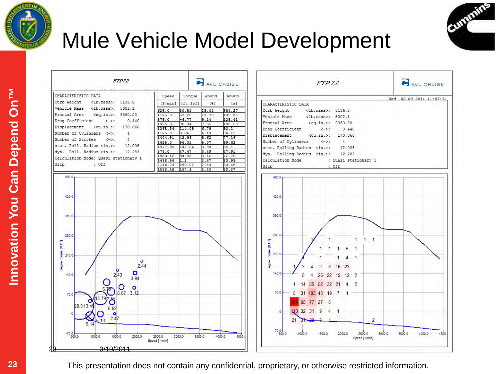



Cummins

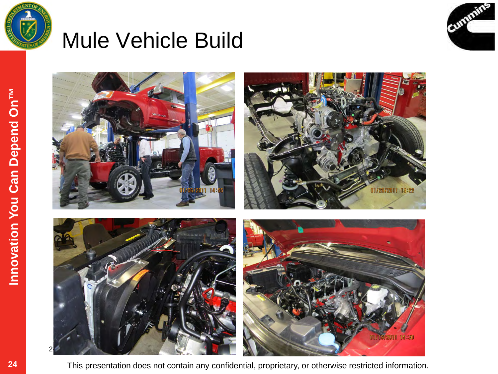

### Mule Vehicle Build



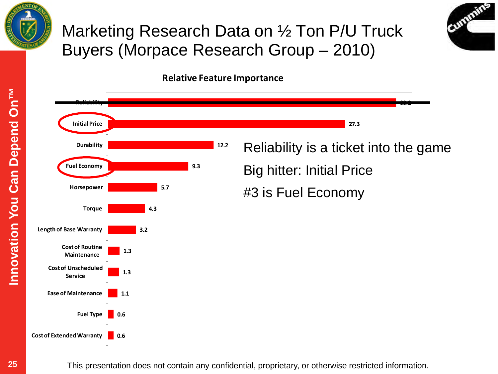

#### Marketing Research Data on ½ Ton P/U Truck Buyers (Morpace Research Group – 2010)



**25Innovation You Can Depend On™**  Innovation You Can Depend On<sup>TM</sup>